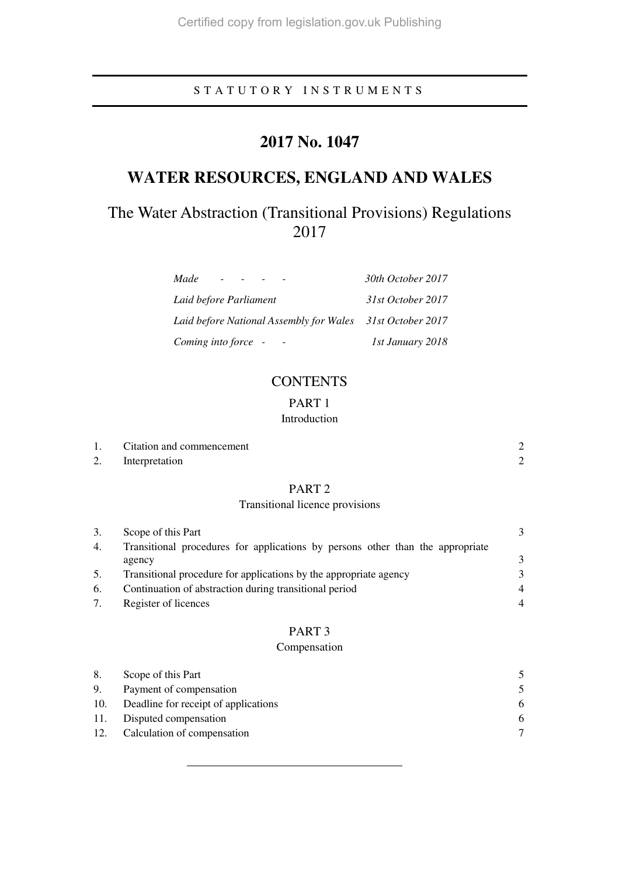# S T A T U T O R Y I N S T R U M E N T S

# **2017 No. 1047**

# **WATER RESOURCES, ENGLAND AND WALES**

# The Water Abstraction (Transitional Provisions) Regulations 2017

| Made                                                      | 30th October 2017 |
|-----------------------------------------------------------|-------------------|
| Laid before Parliament                                    | 31st October 2017 |
| Laid before National Assembly for Wales 31st October 2017 |                   |
| Coming into force -                                       | 1st January 2018  |

# **CONTENTS**

# PART 1

# Introduction

| Citation and commencement |  |
|---------------------------|--|
| Interpretation            |  |

# PART 2

# Transitional licence provisions

| 3. | Scope of this Part                                                             |                |
|----|--------------------------------------------------------------------------------|----------------|
| 4. | Transitional procedures for applications by persons other than the appropriate |                |
|    | agency                                                                         | 3              |
| 5. | Transitional procedure for applications by the appropriate agency              | 3              |
| 6. | Continuation of abstraction during transitional period                         | $\overline{4}$ |
| 7. | Register of licences                                                           |                |

### PART 3

### Compensation

| 8.  | Scope of this Part                   | 5.            |
|-----|--------------------------------------|---------------|
| 9.  | Payment of compensation              | $\mathcal{F}$ |
| 10. | Deadline for receipt of applications | 6             |
| 11. | Disputed compensation                | 6             |
| 12. | Calculation of compensation          |               |
|     |                                      |               |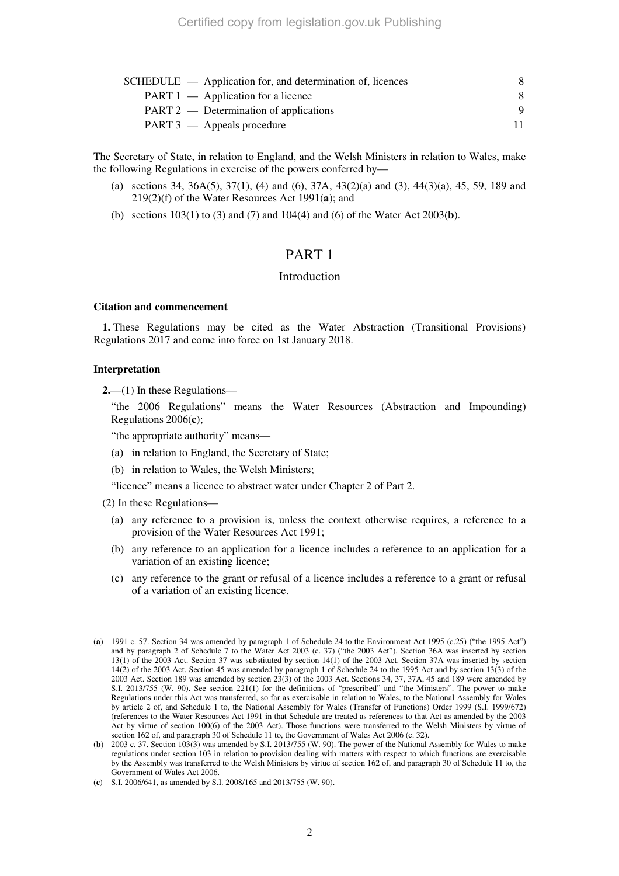| SCHEDULE — Application for, and determination of, licences |    |
|------------------------------------------------------------|----|
| $PART 1$ — Application for a licence                       | 8  |
| PART 2 — Determination of applications                     |    |
| PART 3 — Appeals procedure                                 | 11 |

The Secretary of State, in relation to England, and the Welsh Ministers in relation to Wales, make the following Regulations in exercise of the powers conferred by—

- (a) sections 34, 36A(5), 37(1), (4) and (6), 37A, 43(2)(a) and (3), 44(3)(a), 45, 59, 189 and 219(2)(f) of the Water Resources Act 1991(**a**); and
- (b) sections 103(1) to (3) and (7) and 104(4) and (6) of the Water Act 2003(**b**).

# PART 1

#### Introduction

#### **Citation and commencement**

**1.** These Regulations may be cited as the Water Abstraction (Transitional Provisions) Regulations 2017 and come into force on 1st January 2018.

#### **Interpretation**

**2.**—(1) In these Regulations—

"the 2006 Regulations" means the Water Resources (Abstraction and Impounding) Regulations 2006(**c**);

"the appropriate authority" means—

(a) in relation to England, the Secretary of State;

(b) in relation to Wales, the Welsh Ministers;

"licence" means a licence to abstract water under Chapter 2 of Part 2.

(2) In these Regulations—

- (a) any reference to a provision is, unless the context otherwise requires, a reference to a provision of the Water Resources Act 1991;
- (b) any reference to an application for a licence includes a reference to an application for a variation of an existing licence;
- (c) any reference to the grant or refusal of a licence includes a reference to a grant or refusal of a variation of an existing licence.

<sup>-</sup>(**a**) 1991 c. 57. Section 34 was amended by paragraph 1 of Schedule 24 to the Environment Act 1995 (c.25) ("the 1995 Act") and by paragraph 2 of Schedule 7 to the Water Act 2003 (c. 37) ("the 2003 Act"). Section 36A was inserted by section 13(1) of the 2003 Act. Section 37 was substituted by section 14(1) of the 2003 Act. Section 37A was inserted by section 14(2) of the 2003 Act. Section 45 was amended by paragraph 1 of Schedule 24 to the 1995 Act and by section 13(3) of the 2003 Act. Section 189 was amended by section 23(3) of the 2003 Act. Sections 34, 37, 37A, 45 and 189 were amended by S.I. 2013/755 (W. 90). See section 221(1) for the definitions of "prescribed" and "the Ministers". The power to make Regulations under this Act was transferred, so far as exercisable in relation to Wales, to the National Assembly for Wales by article 2 of, and Schedule 1 to, the National Assembly for Wales (Transfer of Functions) Order 1999 (S.I. 1999/672) (references to the Water Resources Act 1991 in that Schedule are treated as references to that Act as amended by the 2003 Act by virtue of section 100(6) of the 2003 Act). Those functions were transferred to the Welsh Ministers by virtue of section 162 of, and paragraph 30 of Schedule 11 to, the Government of Wales Act 2006 (c. 32).

<sup>(</sup>**b**) 2003 c. 37. Section 103(3) was amended by S.I. 2013/755 (W. 90). The power of the National Assembly for Wales to make regulations under section 103 in relation to provision dealing with matters with respect to which functions are exercisable by the Assembly was transferred to the Welsh Ministers by virtue of section 162 of, and paragraph 30 of Schedule 11 to, the Government of Wales Act 2006.

<sup>(</sup>**c**) S.I. 2006/641, as amended by S.I. 2008/165 and 2013/755 (W. 90).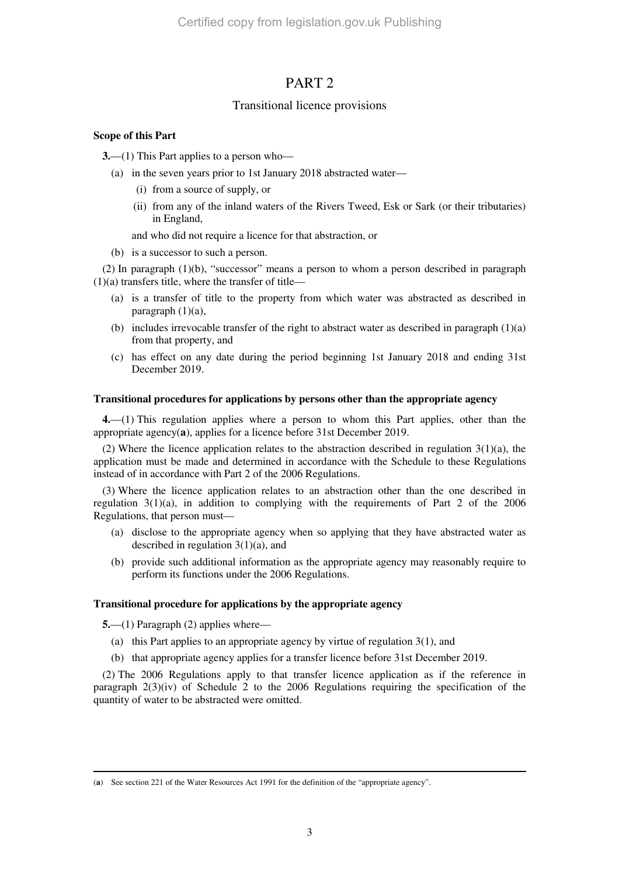# PART 2

### Transitional licence provisions

### **Scope of this Part**

**3.**—(1) This Part applies to a person who—

- (a) in the seven years prior to 1st January 2018 abstracted water—
	- (i) from a source of supply, or
	- (ii) from any of the inland waters of the Rivers Tweed, Esk or Sark (or their tributaries) in England,

and who did not require a licence for that abstraction, or

(b) is a successor to such a person.

(2) In paragraph (1)(b), "successor" means a person to whom a person described in paragraph  $(1)(a)$  transfers title, where the transfer of title—

- (a) is a transfer of title to the property from which water was abstracted as described in paragraph (1)(a),
- (b) includes irrevocable transfer of the right to abstract water as described in paragraph  $(1)(a)$ from that property, and
- (c) has effect on any date during the period beginning 1st January 2018 and ending 31st December 2019.

### **Transitional procedures for applications by persons other than the appropriate agency**

**4.**—(1) This regulation applies where a person to whom this Part applies, other than the appropriate agency(**a**), applies for a licence before 31st December 2019.

(2) Where the licence application relates to the abstraction described in regulation  $3(1)(a)$ , the application must be made and determined in accordance with the Schedule to these Regulations instead of in accordance with Part 2 of the 2006 Regulations.

(3) Where the licence application relates to an abstraction other than the one described in regulation  $3(1)(a)$ , in addition to complying with the requirements of Part 2 of the 2006 Regulations, that person must—

- (a) disclose to the appropriate agency when so applying that they have abstracted water as described in regulation 3(1)(a), and
- (b) provide such additional information as the appropriate agency may reasonably require to perform its functions under the 2006 Regulations.

### **Transitional procedure for applications by the appropriate agency**

**5.**—(1) Paragraph (2) applies where—

- (a) this Part applies to an appropriate agency by virtue of regulation 3(1), and
- (b) that appropriate agency applies for a transfer licence before 31st December 2019.

(2) The 2006 Regulations apply to that transfer licence application as if the reference in paragraph  $2(3)(iv)$  of Schedule 2 to the 2006 Regulations requiring the specification of the quantity of water to be abstracted were omitted.

<sup>-</sup>(**a**) See section 221 of the Water Resources Act 1991 for the definition of the "appropriate agency".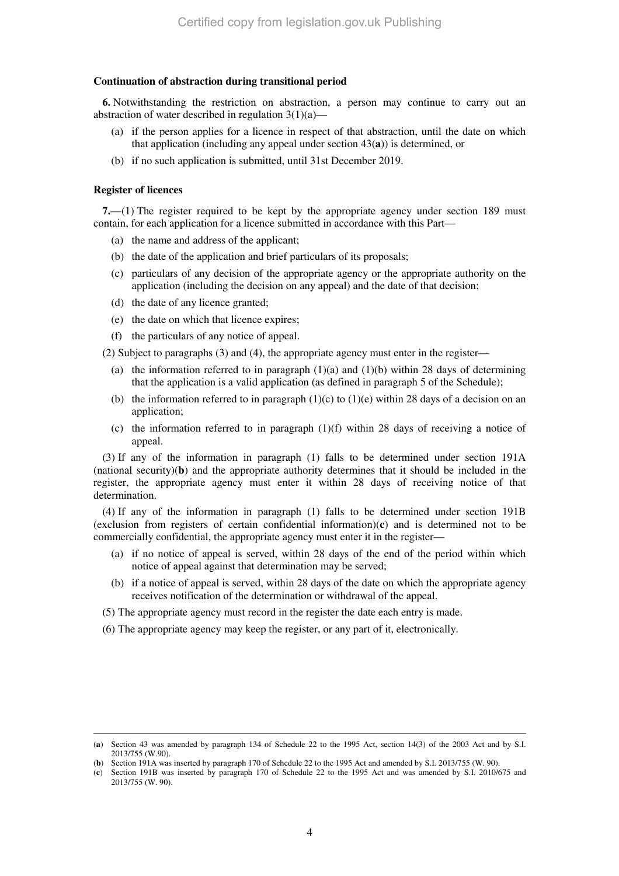### **Continuation of abstraction during transitional period**

**6.** Notwithstanding the restriction on abstraction, a person may continue to carry out an abstraction of water described in regulation  $3(1)(a)$ 

- (a) if the person applies for a licence in respect of that abstraction, until the date on which that application (including any appeal under section 43(**a**)) is determined, or
- (b) if no such application is submitted, until 31st December 2019.

#### **Register of licences**

-

**7.**—(1) The register required to be kept by the appropriate agency under section 189 must contain, for each application for a licence submitted in accordance with this Part—

- (a) the name and address of the applicant;
- (b) the date of the application and brief particulars of its proposals;
- (c) particulars of any decision of the appropriate agency or the appropriate authority on the application (including the decision on any appeal) and the date of that decision;
- (d) the date of any licence granted;
- (e) the date on which that licence expires;
- (f) the particulars of any notice of appeal.

(2) Subject to paragraphs (3) and (4), the appropriate agency must enter in the register—

- (a) the information referred to in paragraph  $(1)(a)$  and  $(1)(b)$  within 28 days of determining that the application is a valid application (as defined in paragraph 5 of the Schedule);
- (b) the information referred to in paragraph  $(1)(c)$  to  $(1)(e)$  within 28 days of a decision on an application;
- (c) the information referred to in paragraph  $(1)(f)$  within 28 days of receiving a notice of appeal.

(3) If any of the information in paragraph (1) falls to be determined under section 191A (national security)(**b**) and the appropriate authority determines that it should be included in the register, the appropriate agency must enter it within 28 days of receiving notice of that determination.

(4) If any of the information in paragraph (1) falls to be determined under section 191B (exclusion from registers of certain confidential information)(**c**) and is determined not to be commercially confidential, the appropriate agency must enter it in the register—

- (a) if no notice of appeal is served, within 28 days of the end of the period within which notice of appeal against that determination may be served;
- (b) if a notice of appeal is served, within 28 days of the date on which the appropriate agency receives notification of the determination or withdrawal of the appeal.
- (5) The appropriate agency must record in the register the date each entry is made.
- (6) The appropriate agency may keep the register, or any part of it, electronically.

<sup>(</sup>**a**) Section 43 was amended by paragraph 134 of Schedule 22 to the 1995 Act, section 14(3) of the 2003 Act and by S.I. 2013/755 (W.90).

<sup>(</sup>**b**) Section 191A was inserted by paragraph 170 of Schedule 22 to the 1995 Act and amended by S.I. 2013/755 (W. 90).

<sup>(</sup>**c**) Section 191B was inserted by paragraph 170 of Schedule 22 to the 1995 Act and was amended by S.I. 2010/675 and 2013/755 (W. 90).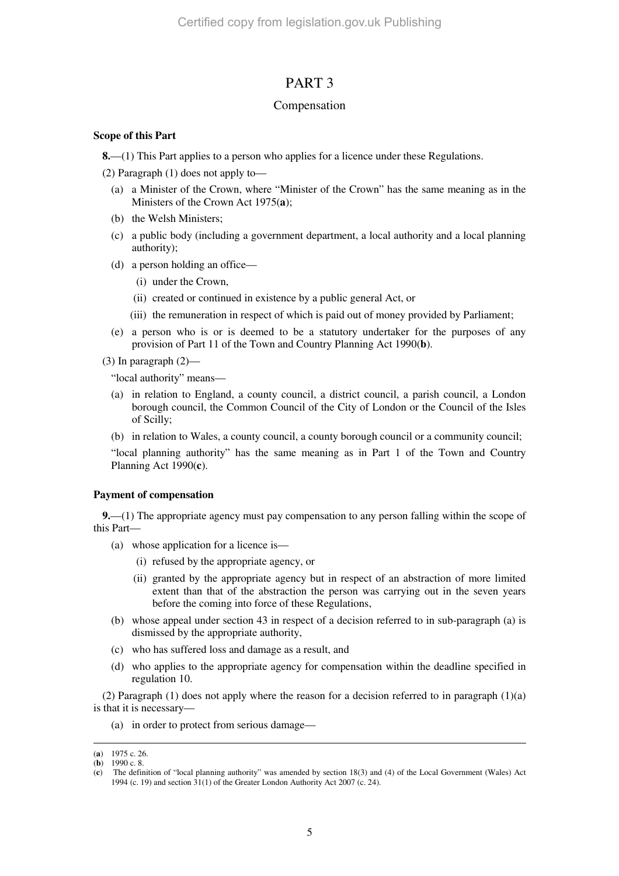# PART 3

### Compensation

### **Scope of this Part**

**8.**—(1) This Part applies to a person who applies for a licence under these Regulations.

(2) Paragraph (1) does not apply to—

- (a) a Minister of the Crown, where "Minister of the Crown" has the same meaning as in the Ministers of the Crown Act 1975(**a**);
- (b) the Welsh Ministers;
- (c) a public body (including a government department, a local authority and a local planning authority);
- (d) a person holding an office—
	- (i) under the Crown,
	- (ii) created or continued in existence by a public general Act, or
	- (iii) the remuneration in respect of which is paid out of money provided by Parliament;
- (e) a person who is or is deemed to be a statutory undertaker for the purposes of any provision of Part 11 of the Town and Country Planning Act 1990(**b**).
- (3) In paragraph  $(2)$ —

"local authority" means—

- (a) in relation to England, a county council, a district council, a parish council, a London borough council, the Common Council of the City of London or the Council of the Isles of Scilly;
- (b) in relation to Wales, a county council, a county borough council or a community council;

"local planning authority" has the same meaning as in Part 1 of the Town and Country Planning Act 1990(**c**).

#### **Payment of compensation**

**9.**—(1) The appropriate agency must pay compensation to any person falling within the scope of this Part—

- (a) whose application for a licence is—
	- (i) refused by the appropriate agency, or
	- (ii) granted by the appropriate agency but in respect of an abstraction of more limited extent than that of the abstraction the person was carrying out in the seven years before the coming into force of these Regulations,
- (b) whose appeal under section 43 in respect of a decision referred to in sub-paragraph (a) is dismissed by the appropriate authority,
- (c) who has suffered loss and damage as a result, and
- (d) who applies to the appropriate agency for compensation within the deadline specified in regulation 10.

(2) Paragraph (1) does not apply where the reason for a decision referred to in paragraph (1)(a) is that it is necessary—

(a) in order to protect from serious damage—

-

<sup>(</sup>**a**) 1975 c. 26.

<sup>(</sup>**b**) 1990 c. 8.

<sup>(</sup>**c**) The definition of "local planning authority" was amended by section 18(3) and (4) of the Local Government (Wales) Act 1994 (c. 19) and section  $31(1)$  of the Greater London Authority Act 2007 (c. 24).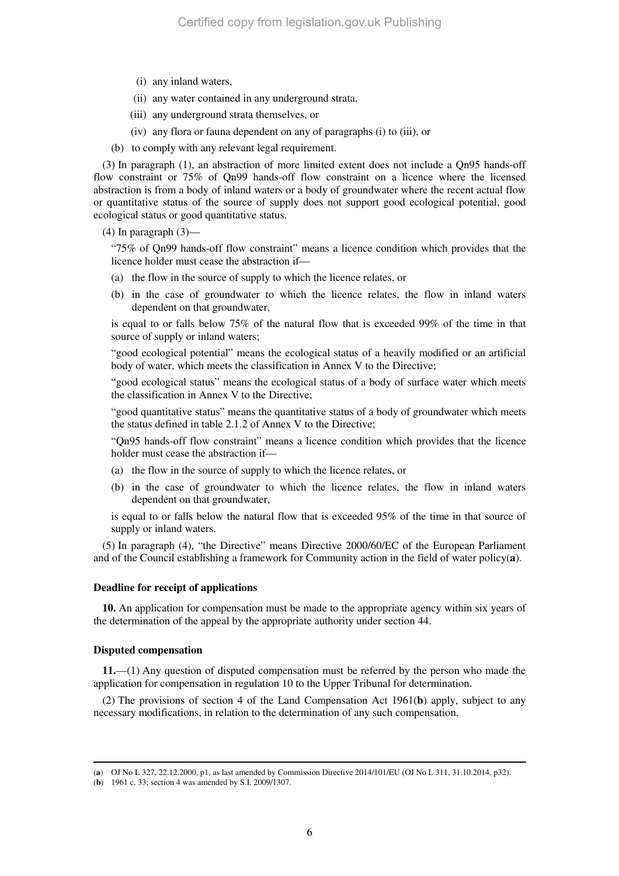- (i) any inland waters,
- (ii) any water contained in any underground strata,
- (iii) any underground strata themselves, or
- (iv) any flora or fauna dependent on any of paragraphs (i) to (iii), or
- (b) to comply with any relevant legal requirement.

(3) In paragraph (1), an abstraction of more limited extent does not include a Qn95 hands-off flow constraint or 75% of Qn99 hands-off flow constraint on a licence where the licensed abstraction is from a body of inland waters or a body of groundwater where the recent actual flow or quantitative status of the source of supply does not support good ecological potential, good ecological status or good quantitative status.

 $(4)$  In paragraph  $(3)$ —

"75% of Qn99 hands-off flow constraint" means a licence condition which provides that the licence holder must cease the abstraction if—

- (a) the flow in the source of supply to which the licence relates, or
- (b) in the case of groundwater to which the licence relates, the flow in inland waters dependent on that groundwater,

is equal to or falls below 75% of the natural flow that is exceeded 99% of the time in that source of supply or inland waters;

"good ecological potential" means the ecological status of a heavily modified or an artificial body of water, which meets the classification in Annex V to the Directive;

"good ecological status" means the ecological status of a body of surface water which meets the classification in Annex V to the Directive;

"good quantitative status" means the quantitative status of a body of groundwater which meets the status defined in table 2.1.2 of Annex V to the Directive;

"Qn95 hands-off flow constraint" means a licence condition which provides that the licence holder must cease the abstraction if—

- (a) the flow in the source of supply to which the licence relates, or
- (b) in the case of groundwater to which the licence relates, the flow in inland waters dependent on that groundwater,

is equal to or falls below the natural flow that is exceeded 95% of the time in that source of supply or inland waters.

(5) In paragraph (4), "the Directive" means Directive 2000/60/EC of the European Parliament and of the Council establishing a framework for Community action in the field of water policy(**a**).

#### **Deadline for receipt of applications**

**10.** An application for compensation must be made to the appropriate agency within six years of the determination of the appeal by the appropriate authority under section 44.

#### **Disputed compensation**

-

**11.**—(1) Any question of disputed compensation must be referred by the person who made the application for compensation in regulation 10 to the Upper Tribunal for determination.

(2) The provisions of section 4 of the Land Compensation Act 1961(**b**) apply, subject to any necessary modifications, in relation to the determination of any such compensation.

<sup>(</sup>**a**) OJ No L 327, 22.12.2000, p1, as last amended by Commission Directive 2014/101/EU (OJ No L 311, 31.10.2014, p32).

<sup>(</sup>**b**) 1961 c. 33; section 4 was amended by S.I. 2009/1307.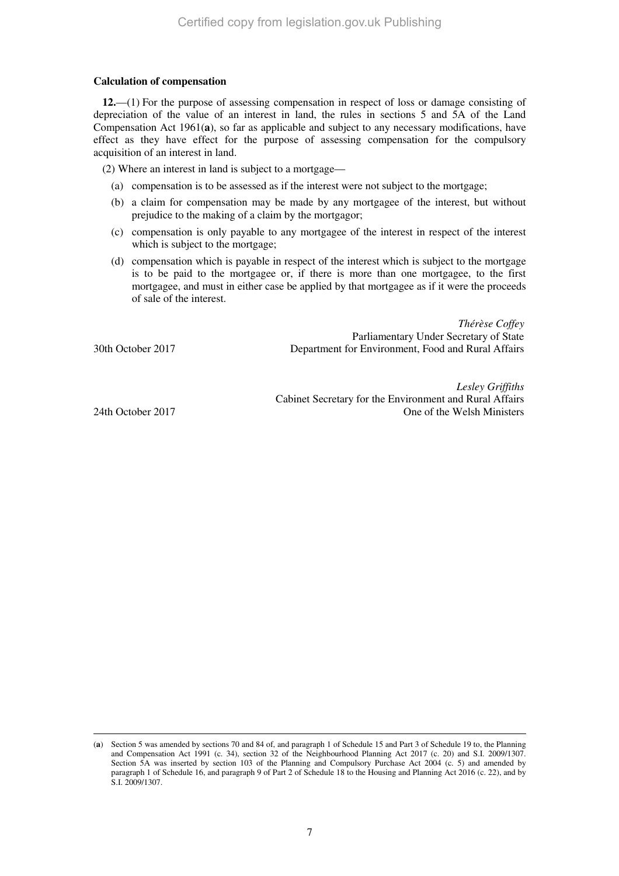### **Calculation of compensation**

**12.**—(1) For the purpose of assessing compensation in respect of loss or damage consisting of depreciation of the value of an interest in land, the rules in sections 5 and 5A of the Land Compensation Act 1961(**a**), so far as applicable and subject to any necessary modifications, have effect as they have effect for the purpose of assessing compensation for the compulsory acquisition of an interest in land.

(2) Where an interest in land is subject to a mortgage—

- (a) compensation is to be assessed as if the interest were not subject to the mortgage;
- (b) a claim for compensation may be made by any mortgagee of the interest, but without prejudice to the making of a claim by the mortgagor;
- (c) compensation is only payable to any mortgagee of the interest in respect of the interest which is subject to the mortgage;
- (d) compensation which is payable in respect of the interest which is subject to the mortgage is to be paid to the mortgagee or, if there is more than one mortgagee, to the first mortgagee, and must in either case be applied by that mortgagee as if it were the proceeds of sale of the interest.

*Thérèse Coffey* Parliamentary Under Secretary of State 30th October 2017 Department for Environment, Food and Rural Affairs

*Lesley Griffiths* Cabinet Secretary for the Environment and Rural Affairs 24th October 2017 One of the Welsh Ministers

-

<sup>(</sup>**a**) Section 5 was amended by sections 70 and 84 of, and paragraph 1 of Schedule 15 and Part 3 of Schedule 19 to, the Planning and Compensation Act 1991 (c. 34), section 32 of the Neighbourhood Planning Act 2017 (c. 20) and S.I. 2009/1307. Section 5A was inserted by section 103 of the Planning and Compulsory Purchase Act 2004 (c. 5) and amended by paragraph 1 of Schedule 16, and paragraph 9 of Part 2 of Schedule 18 to the Housing and Planning Act 2016 (c. 22), and by S.I. 2009/1307.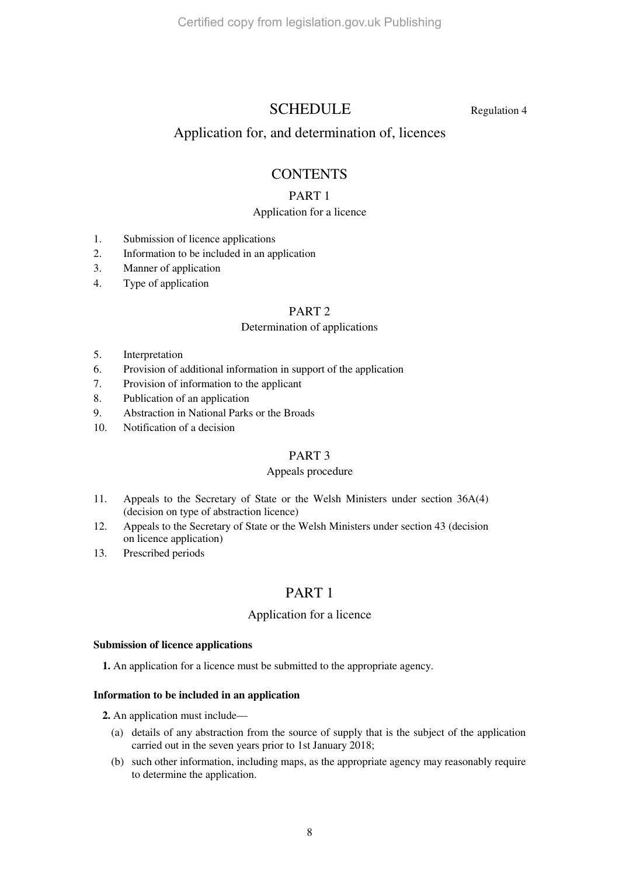# SCHEDULE Regulation 4

# Application for, and determination of, licences

# **CONTENTS**

# PART 1

# Application for a licence

- 1. Submission of licence applications
- 2. Information to be included in an application
- 3. Manner of application
- 4. Type of application

# PART 2

### Determination of applications

- 5. Interpretation
- 6. Provision of additional information in support of the application
- 7. Provision of information to the applicant
- 8. Publication of an application
- 9. Abstraction in National Parks or the Broads
- 10. Notification of a decision

# PART 3

### Appeals procedure

- 11. Appeals to the Secretary of State or the Welsh Ministers under section 36A(4) (decision on type of abstraction licence)
- 12. Appeals to the Secretary of State or the Welsh Ministers under section 43 (decision on licence application)
- 13. Prescribed periods

# PART 1

# Application for a licence

### **Submission of licence applications**

**1.** An application for a licence must be submitted to the appropriate agency.

### **Information to be included in an application**

**2.** An application must include—

- (a) details of any abstraction from the source of supply that is the subject of the application carried out in the seven years prior to 1st January 2018;
- (b) such other information, including maps, as the appropriate agency may reasonably require to determine the application.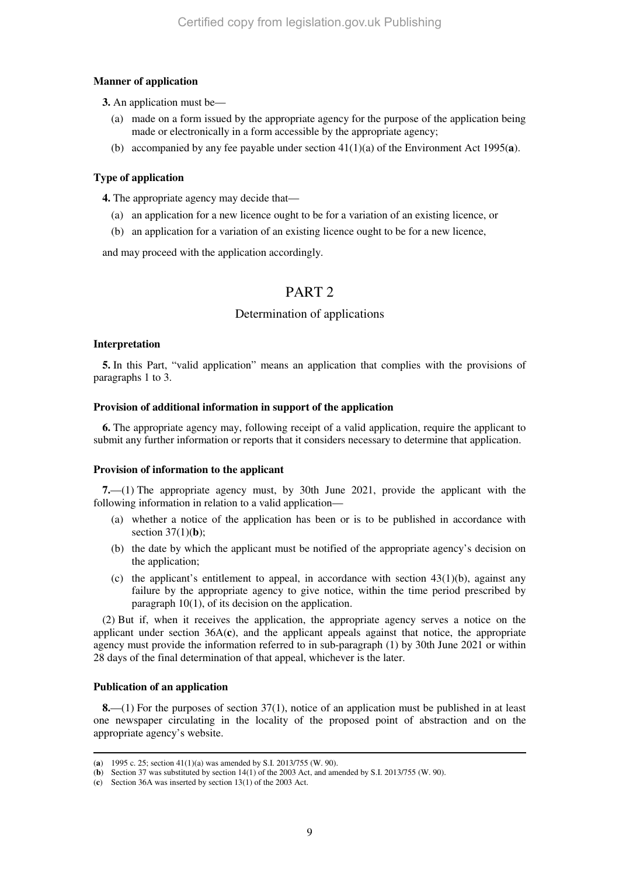### **Manner of application**

**3.** An application must be—

- (a) made on a form issued by the appropriate agency for the purpose of the application being made or electronically in a form accessible by the appropriate agency;
- (b) accompanied by any fee payable under section 41(1)(a) of the Environment Act 1995(**a**).

### **Type of application**

**4.** The appropriate agency may decide that—

- (a) an application for a new licence ought to be for a variation of an existing licence, or
- (b) an application for a variation of an existing licence ought to be for a new licence,

and may proceed with the application accordingly.

# PART 2

### Determination of applications

### **Interpretation**

**5.** In this Part, "valid application" means an application that complies with the provisions of paragraphs 1 to 3.

### **Provision of additional information in support of the application**

**6.** The appropriate agency may, following receipt of a valid application, require the applicant to submit any further information or reports that it considers necessary to determine that application.

### **Provision of information to the applicant**

**7.**—(1) The appropriate agency must, by 30th June 2021, provide the applicant with the following information in relation to a valid application—

- (a) whether a notice of the application has been or is to be published in accordance with section 37(1)(**b**);
- (b) the date by which the applicant must be notified of the appropriate agency's decision on the application;
- (c) the applicant's entitlement to appeal, in accordance with section  $43(1)(b)$ , against any failure by the appropriate agency to give notice, within the time period prescribed by paragraph 10(1), of its decision on the application.

(2) But if, when it receives the application, the appropriate agency serves a notice on the applicant under section 36A(**c**), and the applicant appeals against that notice, the appropriate agency must provide the information referred to in sub-paragraph (1) by 30th June 2021 or within 28 days of the final determination of that appeal, whichever is the later.

### **Publication of an application**

**8.**—(1) For the purposes of section 37(1), notice of an application must be published in at least one newspaper circulating in the locality of the proposed point of abstraction and on the appropriate agency's website.

<sup>-</sup>(**a**) 1995 c. 25; section 41(1)(a) was amended by S.I. 2013/755 (W. 90).

<sup>(</sup>**b**) Section 37 was substituted by section 14(1) of the 2003 Act, and amended by S.I. 2013/755 (W. 90).

<sup>(</sup>**c**) Section 36A was inserted by section 13(1) of the 2003 Act.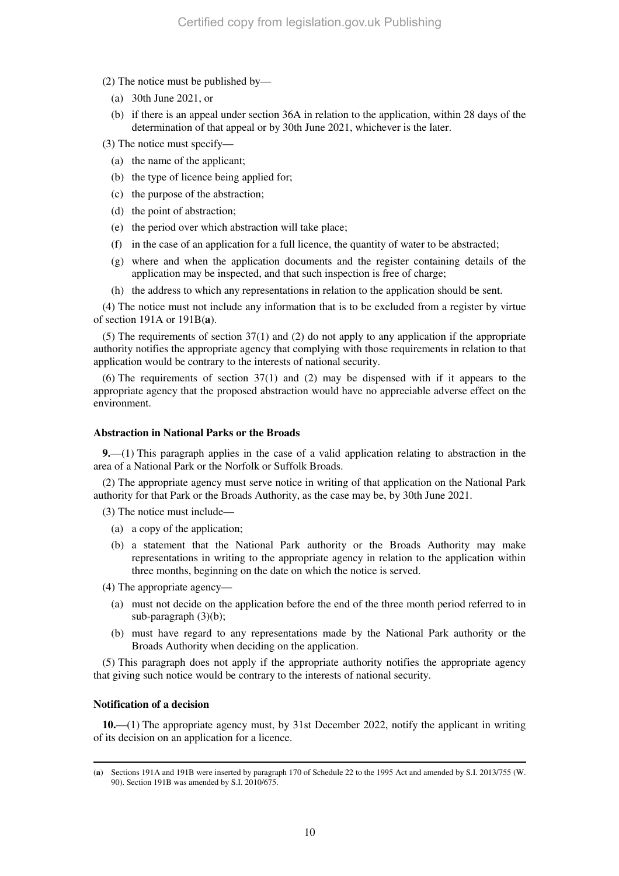- (2) The notice must be published by—
	- (a) 30th June 2021, or
	- (b) if there is an appeal under section 36A in relation to the application, within 28 days of the determination of that appeal or by 30th June 2021, whichever is the later.
- (3) The notice must specify—
	- (a) the name of the applicant;
	- (b) the type of licence being applied for;
	- (c) the purpose of the abstraction;
	- (d) the point of abstraction;
	- (e) the period over which abstraction will take place;
	- (f) in the case of an application for a full licence, the quantity of water to be abstracted;
	- (g) where and when the application documents and the register containing details of the application may be inspected, and that such inspection is free of charge;
	- (h) the address to which any representations in relation to the application should be sent.

(4) The notice must not include any information that is to be excluded from a register by virtue of section 191A or 191B(**a**).

(5) The requirements of section 37(1) and (2) do not apply to any application if the appropriate authority notifies the appropriate agency that complying with those requirements in relation to that application would be contrary to the interests of national security.

(6) The requirements of section 37(1) and (2) may be dispensed with if it appears to the appropriate agency that the proposed abstraction would have no appreciable adverse effect on the environment.

#### **Abstraction in National Parks or the Broads**

**9.**—(1) This paragraph applies in the case of a valid application relating to abstraction in the area of a National Park or the Norfolk or Suffolk Broads.

(2) The appropriate agency must serve notice in writing of that application on the National Park authority for that Park or the Broads Authority, as the case may be, by 30th June 2021.

(3) The notice must include—

- (a) a copy of the application;
- (b) a statement that the National Park authority or the Broads Authority may make representations in writing to the appropriate agency in relation to the application within three months, beginning on the date on which the notice is served.

(4) The appropriate agency—

- (a) must not decide on the application before the end of the three month period referred to in sub-paragraph (3)(b);
- (b) must have regard to any representations made by the National Park authority or the Broads Authority when deciding on the application.

(5) This paragraph does not apply if the appropriate authority notifies the appropriate agency that giving such notice would be contrary to the interests of national security.

### **Notification of a decision**

-

**10.**—(1) The appropriate agency must, by 31st December 2022, notify the applicant in writing of its decision on an application for a licence.

<sup>(</sup>**a**) Sections 191A and 191B were inserted by paragraph 170 of Schedule 22 to the 1995 Act and amended by S.I. 2013/755 (W. 90). Section 191B was amended by S.I. 2010/675.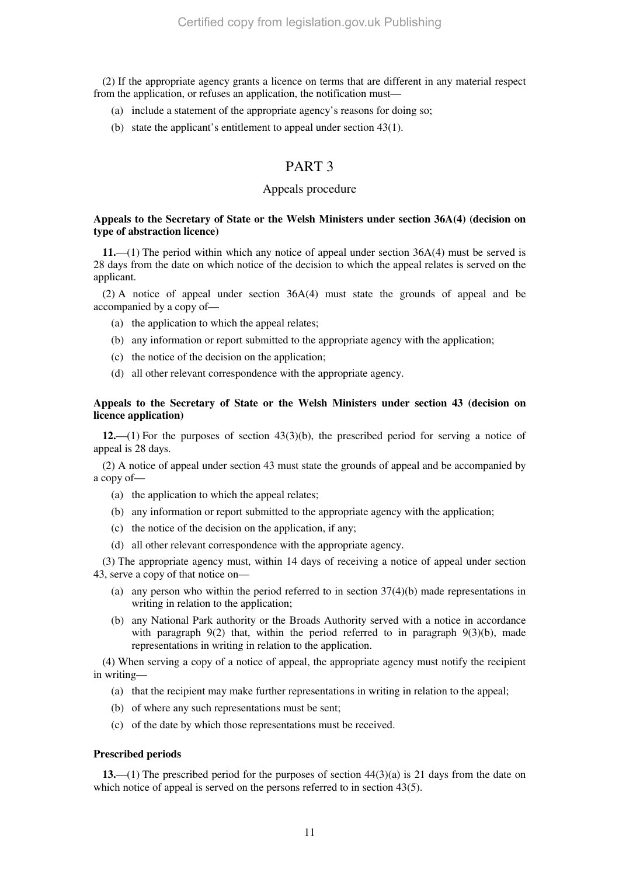(2) If the appropriate agency grants a licence on terms that are different in any material respect from the application, or refuses an application, the notification must—

- (a) include a statement of the appropriate agency's reasons for doing so;
- (b) state the applicant's entitlement to appeal under section 43(1).

# PART 3

### Appeals procedure

### **Appeals to the Secretary of State or the Welsh Ministers under section 36A(4) (decision on type of abstraction licence)**

**11.**—(1) The period within which any notice of appeal under section 36A(4) must be served is 28 days from the date on which notice of the decision to which the appeal relates is served on the applicant.

(2) A notice of appeal under section 36A(4) must state the grounds of appeal and be accompanied by a copy of—

- (a) the application to which the appeal relates;
- (b) any information or report submitted to the appropriate agency with the application;
- (c) the notice of the decision on the application;
- (d) all other relevant correspondence with the appropriate agency.

### **Appeals to the Secretary of State or the Welsh Ministers under section 43 (decision on licence application)**

**12.**—(1) For the purposes of section 43(3)(b), the prescribed period for serving a notice of appeal is 28 days.

(2) A notice of appeal under section 43 must state the grounds of appeal and be accompanied by a copy of—

- (a) the application to which the appeal relates;
- (b) any information or report submitted to the appropriate agency with the application;
- (c) the notice of the decision on the application, if any;
- (d) all other relevant correspondence with the appropriate agency.

(3) The appropriate agency must, within 14 days of receiving a notice of appeal under section 43, serve a copy of that notice on—

- (a) any person who within the period referred to in section  $37(4)(b)$  made representations in writing in relation to the application;
- (b) any National Park authority or the Broads Authority served with a notice in accordance with paragraph  $9(2)$  that, within the period referred to in paragraph  $9(3)(b)$ , made representations in writing in relation to the application.

(4) When serving a copy of a notice of appeal, the appropriate agency must notify the recipient in writing—

- (a) that the recipient may make further representations in writing in relation to the appeal;
- (b) of where any such representations must be sent;
- (c) of the date by which those representations must be received.

#### **Prescribed periods**

**13.**—(1) The prescribed period for the purposes of section 44(3)(a) is 21 days from the date on which notice of appeal is served on the persons referred to in section 43(5).